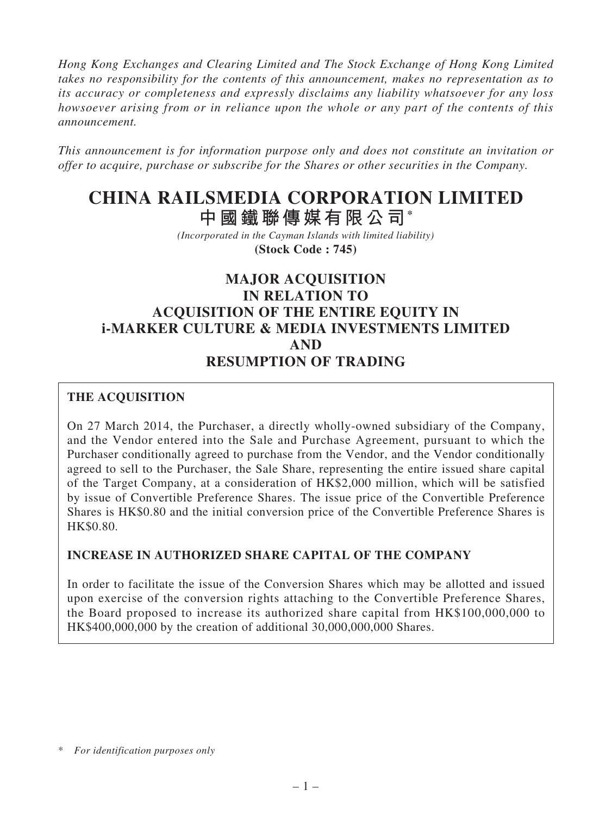*Hong Kong Exchanges and Clearing Limited and The Stock Exchange of Hong Kong Limited takes no responsibility for the contents of this announcement, makes no representation as to its accuracy or completeness and expressly disclaims any liability whatsoever for any loss howsoever arising from or in reliance upon the whole or any part of the contents of this announcement.*

*This announcement is for information purpose only and does not constitute an invitation or offer to acquire, purchase or subscribe for the Shares or other securities in the Company.*

# **CHINA RAILSMEDIA CORPORATION LIMITED**

**中國鐵聯傳媒有限公司\***

*(Incorporated in the Cayman Islands with limited liability)* **(Stock Code : 745)**

# **MAJOR ACQUISITION IN RELATION TO ACQUISITION OF THE ENTIRE EQUITY IN i-MARKER CULTURE & MEDIA INVESTMENTS LIMITED AND RESUMPTION OF TRADING**

## **THE ACQUISITION**

On 27 March 2014, the Purchaser, a directly wholly-owned subsidiary of the Company, and the Vendor entered into the Sale and Purchase Agreement, pursuant to which the Purchaser conditionally agreed to purchase from the Vendor, and the Vendor conditionally agreed to sell to the Purchaser, the Sale Share, representing the entire issued share capital of the Target Company, at a consideration of HK\$2,000 million, which will be satisfied by issue of Convertible Preference Shares. The issue price of the Convertible Preference Shares is HK\$0.80 and the initial conversion price of the Convertible Preference Shares is HK\$0.80.

## **INCREASE IN AUTHORIZED SHARE CAPITAL OF THE COMPANY**

In order to facilitate the issue of the Conversion Shares which may be allotted and issued upon exercise of the conversion rights attaching to the Convertible Preference Shares, the Board proposed to increase its authorized share capital from HK\$100,000,000 to HK\$400,000,000 by the creation of additional 30,000,000,000 Shares.

<sup>\*</sup> *For identification purposes only*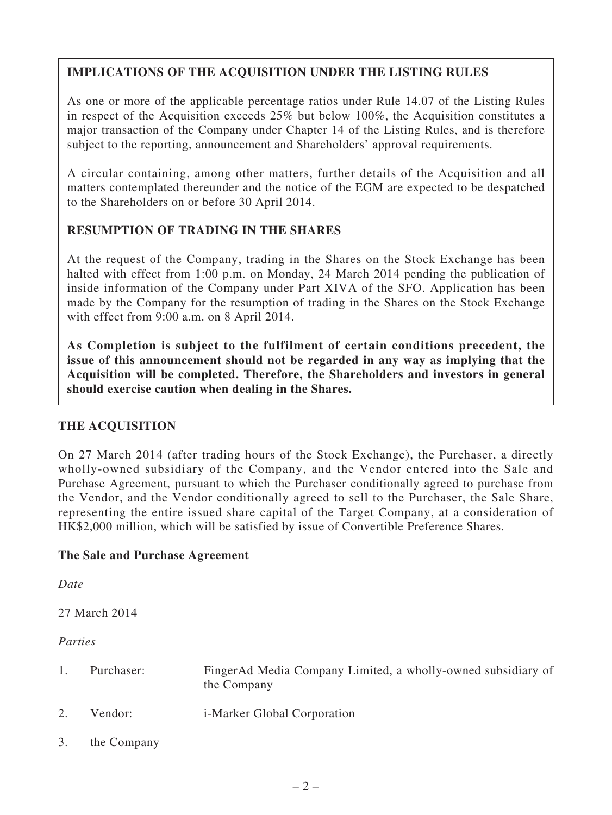## **IMPLICATIONS OF THE ACQUISITION UNDER THE LISTING RULES**

As one or more of the applicable percentage ratios under Rule 14.07 of the Listing Rules in respect of the Acquisition exceeds 25% but below 100%, the Acquisition constitutes a major transaction of the Company under Chapter 14 of the Listing Rules, and is therefore subject to the reporting, announcement and Shareholders' approval requirements.

A circular containing, among other matters, further details of the Acquisition and all matters contemplated thereunder and the notice of the EGM are expected to be despatched to the Shareholders on or before 30 April 2014.

## **RESUMPTION OF TRADING IN THE SHARES**

At the request of the Company, trading in the Shares on the Stock Exchange has been halted with effect from 1:00 p.m. on Monday, 24 March 2014 pending the publication of inside information of the Company under Part XIVA of the SFO. Application has been made by the Company for the resumption of trading in the Shares on the Stock Exchange with effect from 9:00 a.m. on 8 April 2014.

**As Completion is subject to the fulfilment of certain conditions precedent, the issue of this announcement should not be regarded in any way as implying that the Acquisition will be completed. Therefore, the Shareholders and investors in general should exercise caution when dealing in the Shares.**

## **THE ACQUISITION**

On 27 March 2014 (after trading hours of the Stock Exchange), the Purchaser, a directly wholly-owned subsidiary of the Company, and the Vendor entered into the Sale and Purchase Agreement, pursuant to which the Purchaser conditionally agreed to purchase from the Vendor, and the Vendor conditionally agreed to sell to the Purchaser, the Sale Share, representing the entire issued share capital of the Target Company, at a consideration of HK\$2,000 million, which will be satisfied by issue of Convertible Preference Shares.

## **The Sale and Purchase Agreement**

*Date*

27 March 2014

## *Parties*

- 1. Purchaser: FingerAd Media Company Limited, a wholly-owned subsidiary of the Company 2. Vendor: i-Marker Global Corporation
- 3. the Company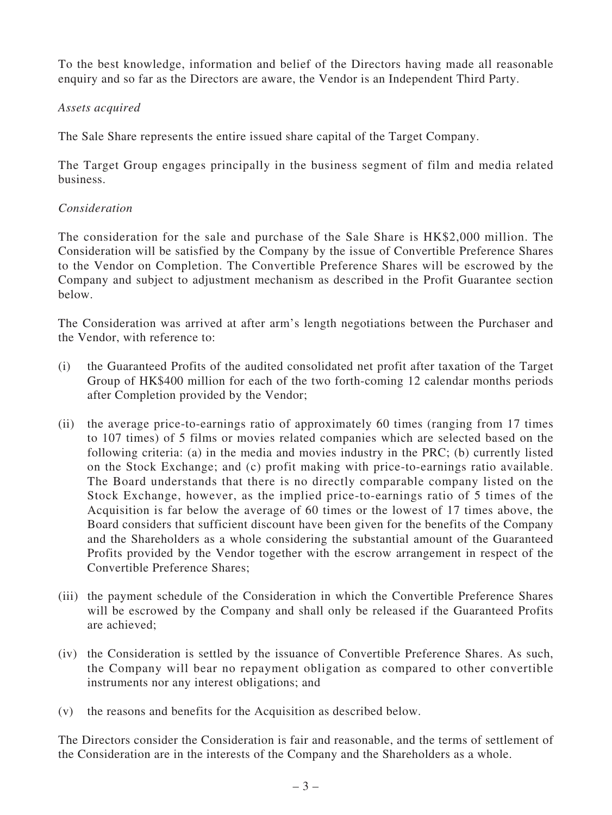To the best knowledge, information and belief of the Directors having made all reasonable enquiry and so far as the Directors are aware, the Vendor is an Independent Third Party.

#### *Assets acquired*

The Sale Share represents the entire issued share capital of the Target Company.

The Target Group engages principally in the business segment of film and media related business.

#### *Consideration*

The consideration for the sale and purchase of the Sale Share is HK\$2,000 million. The Consideration will be satisfied by the Company by the issue of Convertible Preference Shares to the Vendor on Completion. The Convertible Preference Shares will be escrowed by the Company and subject to adjustment mechanism as described in the Profit Guarantee section below.

The Consideration was arrived at after arm's length negotiations between the Purchaser and the Vendor, with reference to:

- (i) the Guaranteed Profits of the audited consolidated net profit after taxation of the Target Group of HK\$400 million for each of the two forth-coming 12 calendar months periods after Completion provided by the Vendor;
- (ii) the average price-to-earnings ratio of approximately 60 times (ranging from 17 times to 107 times) of 5 films or movies related companies which are selected based on the following criteria: (a) in the media and movies industry in the PRC; (b) currently listed on the Stock Exchange; and (c) profit making with price-to-earnings ratio available. The Board understands that there is no directly comparable company listed on the Stock Exchange, however, as the implied price-to-earnings ratio of 5 times of the Acquisition is far below the average of 60 times or the lowest of 17 times above, the Board considers that sufficient discount have been given for the benefits of the Company and the Shareholders as a whole considering the substantial amount of the Guaranteed Profits provided by the Vendor together with the escrow arrangement in respect of the Convertible Preference Shares;
- (iii) the payment schedule of the Consideration in which the Convertible Preference Shares will be escrowed by the Company and shall only be released if the Guaranteed Profits are achieved;
- (iv) the Consideration is settled by the issuance of Convertible Preference Shares. As such, the Company will bear no repayment obligation as compared to other convertible instruments nor any interest obligations; and
- (v) the reasons and benefits for the Acquisition as described below.

The Directors consider the Consideration is fair and reasonable, and the terms of settlement of the Consideration are in the interests of the Company and the Shareholders as a whole.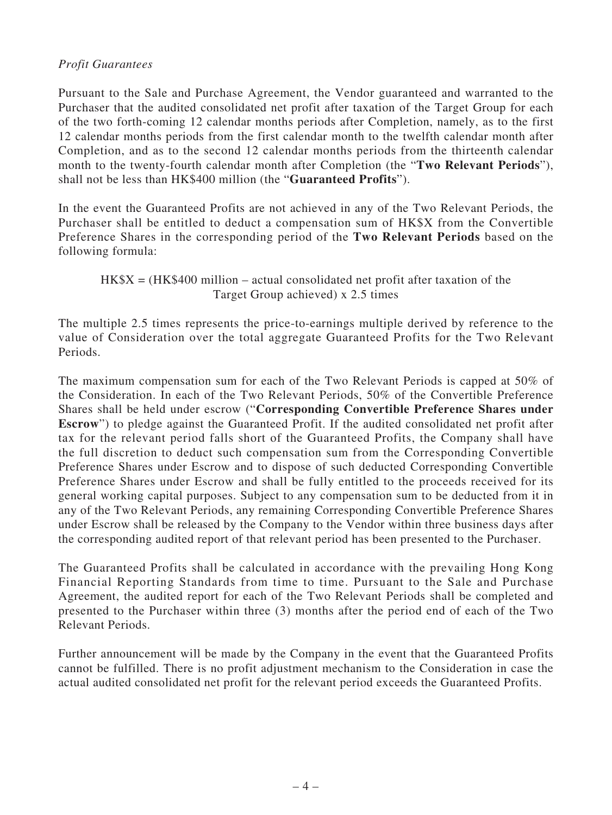## *Profit Guarantees*

Pursuant to the Sale and Purchase Agreement, the Vendor guaranteed and warranted to the Purchaser that the audited consolidated net profit after taxation of the Target Group for each of the two forth-coming 12 calendar months periods after Completion, namely, as to the first 12 calendar months periods from the first calendar month to the twelfth calendar month after Completion, and as to the second 12 calendar months periods from the thirteenth calendar month to the twenty-fourth calendar month after Completion (the "**Two Relevant Periods**"), shall not be less than HK\$400 million (the "**Guaranteed Profits**").

In the event the Guaranteed Profits are not achieved in any of the Two Relevant Periods, the Purchaser shall be entitled to deduct a compensation sum of HK\$X from the Convertible Preference Shares in the corresponding period of the **Two Relevant Periods** based on the following formula:

 $HK$X = (HK$400 million - actual consolidated net profit after taxation of the$ Target Group achieved) x 2.5 times

The multiple 2.5 times represents the price-to-earnings multiple derived by reference to the value of Consideration over the total aggregate Guaranteed Profits for the Two Relevant Periods.

The maximum compensation sum for each of the Two Relevant Periods is capped at 50% of the Consideration. In each of the Two Relevant Periods, 50% of the Convertible Preference Shares shall be held under escrow ("**Corresponding Convertible Preference Shares under Escrow**") to pledge against the Guaranteed Profit. If the audited consolidated net profit after tax for the relevant period falls short of the Guaranteed Profits, the Company shall have the full discretion to deduct such compensation sum from the Corresponding Convertible Preference Shares under Escrow and to dispose of such deducted Corresponding Convertible Preference Shares under Escrow and shall be fully entitled to the proceeds received for its general working capital purposes. Subject to any compensation sum to be deducted from it in any of the Two Relevant Periods, any remaining Corresponding Convertible Preference Shares under Escrow shall be released by the Company to the Vendor within three business days after the corresponding audited report of that relevant period has been presented to the Purchaser.

The Guaranteed Profits shall be calculated in accordance with the prevailing Hong Kong Financial Reporting Standards from time to time. Pursuant to the Sale and Purchase Agreement, the audited report for each of the Two Relevant Periods shall be completed and presented to the Purchaser within three (3) months after the period end of each of the Two Relevant Periods.

Further announcement will be made by the Company in the event that the Guaranteed Profits cannot be fulfilled. There is no profit adjustment mechanism to the Consideration in case the actual audited consolidated net profit for the relevant period exceeds the Guaranteed Profits.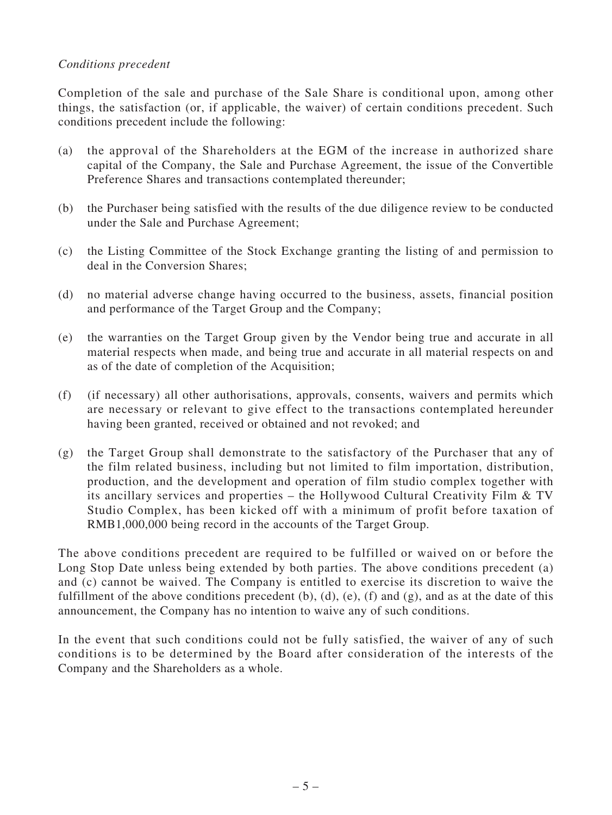## *Conditions precedent*

Completion of the sale and purchase of the Sale Share is conditional upon, among other things, the satisfaction (or, if applicable, the waiver) of certain conditions precedent. Such conditions precedent include the following:

- (a) the approval of the Shareholders at the EGM of the increase in authorized share capital of the Company, the Sale and Purchase Agreement, the issue of the Convertible Preference Shares and transactions contemplated thereunder;
- (b) the Purchaser being satisfied with the results of the due diligence review to be conducted under the Sale and Purchase Agreement;
- (c) the Listing Committee of the Stock Exchange granting the listing of and permission to deal in the Conversion Shares;
- (d) no material adverse change having occurred to the business, assets, financial position and performance of the Target Group and the Company;
- (e) the warranties on the Target Group given by the Vendor being true and accurate in all material respects when made, and being true and accurate in all material respects on and as of the date of completion of the Acquisition;
- (f) (if necessary) all other authorisations, approvals, consents, waivers and permits which are necessary or relevant to give effect to the transactions contemplated hereunder having been granted, received or obtained and not revoked; and
- (g) the Target Group shall demonstrate to the satisfactory of the Purchaser that any of the film related business, including but not limited to film importation, distribution, production, and the development and operation of film studio complex together with its ancillary services and properties – the Hollywood Cultural Creativity Film & TV Studio Complex, has been kicked off with a minimum of profit before taxation of RMB1,000,000 being record in the accounts of the Target Group.

The above conditions precedent are required to be fulfilled or waived on or before the Long Stop Date unless being extended by both parties. The above conditions precedent (a) and (c) cannot be waived. The Company is entitled to exercise its discretion to waive the fulfillment of the above conditions precedent  $(b)$ ,  $(d)$ ,  $(e)$ ,  $(f)$  and  $(g)$ , and as at the date of this announcement, the Company has no intention to waive any of such conditions.

In the event that such conditions could not be fully satisfied, the waiver of any of such conditions is to be determined by the Board after consideration of the interests of the Company and the Shareholders as a whole.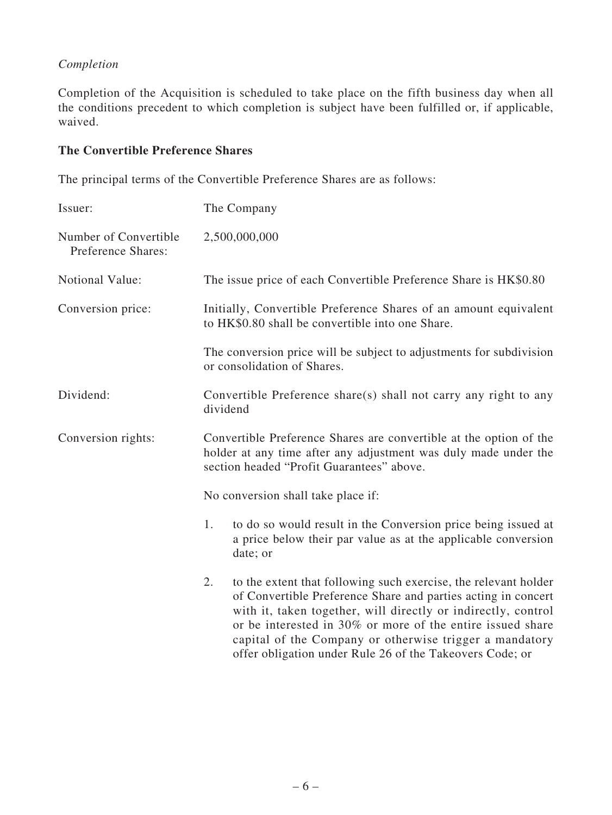## *Completion*

Completion of the Acquisition is scheduled to take place on the fifth business day when all the conditions precedent to which completion is subject have been fulfilled or, if applicable, waived.

## **The Convertible Preference Shares**

The principal terms of the Convertible Preference Shares are as follows:

| Issuer:                                     | The Company                                                                                                                                                                                                                                                                                                                                                                                  |  |  |
|---------------------------------------------|----------------------------------------------------------------------------------------------------------------------------------------------------------------------------------------------------------------------------------------------------------------------------------------------------------------------------------------------------------------------------------------------|--|--|
| Number of Convertible<br>Preference Shares: | 2,500,000,000                                                                                                                                                                                                                                                                                                                                                                                |  |  |
| Notional Value:                             | The issue price of each Convertible Preference Share is HK\$0.80                                                                                                                                                                                                                                                                                                                             |  |  |
| Conversion price:                           | Initially, Convertible Preference Shares of an amount equivalent<br>to HK\$0.80 shall be convertible into one Share.                                                                                                                                                                                                                                                                         |  |  |
|                                             | The conversion price will be subject to adjustments for subdivision<br>or consolidation of Shares.                                                                                                                                                                                                                                                                                           |  |  |
| Dividend:                                   | Convertible Preference share(s) shall not carry any right to any<br>dividend                                                                                                                                                                                                                                                                                                                 |  |  |
| Conversion rights:                          | Convertible Preference Shares are convertible at the option of the<br>holder at any time after any adjustment was duly made under the<br>section headed "Profit Guarantees" above.                                                                                                                                                                                                           |  |  |
|                                             | No conversion shall take place if:                                                                                                                                                                                                                                                                                                                                                           |  |  |
|                                             | 1.<br>to do so would result in the Conversion price being issued at<br>a price below their par value as at the applicable conversion<br>date; or                                                                                                                                                                                                                                             |  |  |
|                                             | to the extent that following such exercise, the relevant holder<br>2.<br>of Convertible Preference Share and parties acting in concert<br>with it, taken together, will directly or indirectly, control<br>or be interested in 30% or more of the entire issued share<br>capital of the Company or otherwise trigger a mandatory<br>offer obligation under Rule 26 of the Takeovers Code; or |  |  |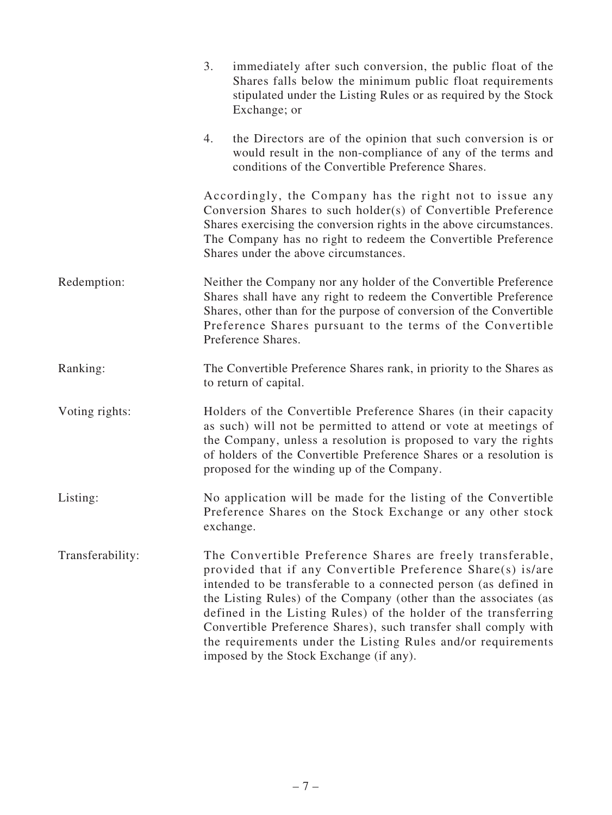|                  | 3.<br>immediately after such conversion, the public float of the<br>Shares falls below the minimum public float requirements<br>stipulated under the Listing Rules or as required by the Stock<br>Exchange; or                                                                                                                                                                                                                                                                                                     |
|------------------|--------------------------------------------------------------------------------------------------------------------------------------------------------------------------------------------------------------------------------------------------------------------------------------------------------------------------------------------------------------------------------------------------------------------------------------------------------------------------------------------------------------------|
|                  | the Directors are of the opinion that such conversion is or<br>4.<br>would result in the non-compliance of any of the terms and<br>conditions of the Convertible Preference Shares.                                                                                                                                                                                                                                                                                                                                |
|                  | Accordingly, the Company has the right not to issue any<br>Conversion Shares to such holder(s) of Convertible Preference<br>Shares exercising the conversion rights in the above circumstances.<br>The Company has no right to redeem the Convertible Preference<br>Shares under the above circumstances.                                                                                                                                                                                                          |
| Redemption:      | Neither the Company nor any holder of the Convertible Preference<br>Shares shall have any right to redeem the Convertible Preference<br>Shares, other than for the purpose of conversion of the Convertible<br>Preference Shares pursuant to the terms of the Convertible<br>Preference Shares.                                                                                                                                                                                                                    |
| Ranking:         | The Convertible Preference Shares rank, in priority to the Shares as<br>to return of capital.                                                                                                                                                                                                                                                                                                                                                                                                                      |
| Voting rights:   | Holders of the Convertible Preference Shares (in their capacity<br>as such) will not be permitted to attend or vote at meetings of<br>the Company, unless a resolution is proposed to vary the rights<br>of holders of the Convertible Preference Shares or a resolution is<br>proposed for the winding up of the Company.                                                                                                                                                                                         |
| Listing:         | No application will be made for the listing of the Convertible<br>Preference Shares on the Stock Exchange or any other stock<br>exchange.                                                                                                                                                                                                                                                                                                                                                                          |
| Transferability: | The Convertible Preference Shares are freely transferable,<br>provided that if any Convertible Preference Share(s) is/are<br>intended to be transferable to a connected person (as defined in<br>the Listing Rules) of the Company (other than the associates (as<br>defined in the Listing Rules) of the holder of the transferring<br>Convertible Preference Shares), such transfer shall comply with<br>the requirements under the Listing Rules and/or requirements<br>imposed by the Stock Exchange (if any). |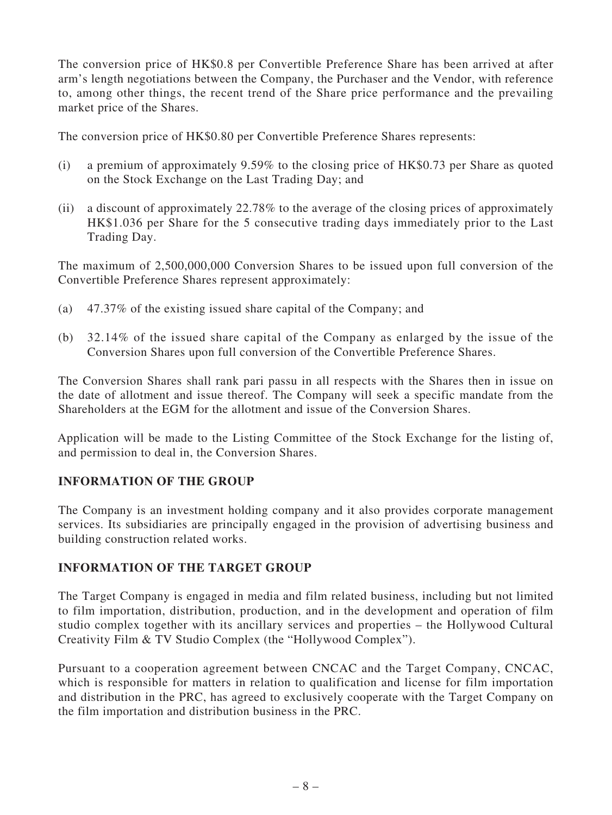The conversion price of HK\$0.8 per Convertible Preference Share has been arrived at after arm's length negotiations between the Company, the Purchaser and the Vendor, with reference to, among other things, the recent trend of the Share price performance and the prevailing market price of the Shares.

The conversion price of HK\$0.80 per Convertible Preference Shares represents:

- (i) a premium of approximately 9.59% to the closing price of HK\$0.73 per Share as quoted on the Stock Exchange on the Last Trading Day; and
- (ii) a discount of approximately 22.78% to the average of the closing prices of approximately HK\$1.036 per Share for the 5 consecutive trading days immediately prior to the Last Trading Day.

The maximum of 2,500,000,000 Conversion Shares to be issued upon full conversion of the Convertible Preference Shares represent approximately:

- (a) 47.37% of the existing issued share capital of the Company; and
- (b) 32.14% of the issued share capital of the Company as enlarged by the issue of the Conversion Shares upon full conversion of the Convertible Preference Shares.

The Conversion Shares shall rank pari passu in all respects with the Shares then in issue on the date of allotment and issue thereof. The Company will seek a specific mandate from the Shareholders at the EGM for the allotment and issue of the Conversion Shares.

Application will be made to the Listing Committee of the Stock Exchange for the listing of, and permission to deal in, the Conversion Shares.

## **INFORMATION OF THE GROUP**

The Company is an investment holding company and it also provides corporate management services. Its subsidiaries are principally engaged in the provision of advertising business and building construction related works.

## **INFORMATION OF THE TARGET GROUP**

The Target Company is engaged in media and film related business, including but not limited to film importation, distribution, production, and in the development and operation of film studio complex together with its ancillary services and properties – the Hollywood Cultural Creativity Film & TV Studio Complex (the "Hollywood Complex").

Pursuant to a cooperation agreement between CNCAC and the Target Company, CNCAC, which is responsible for matters in relation to qualification and license for film importation and distribution in the PRC, has agreed to exclusively cooperate with the Target Company on the film importation and distribution business in the PRC.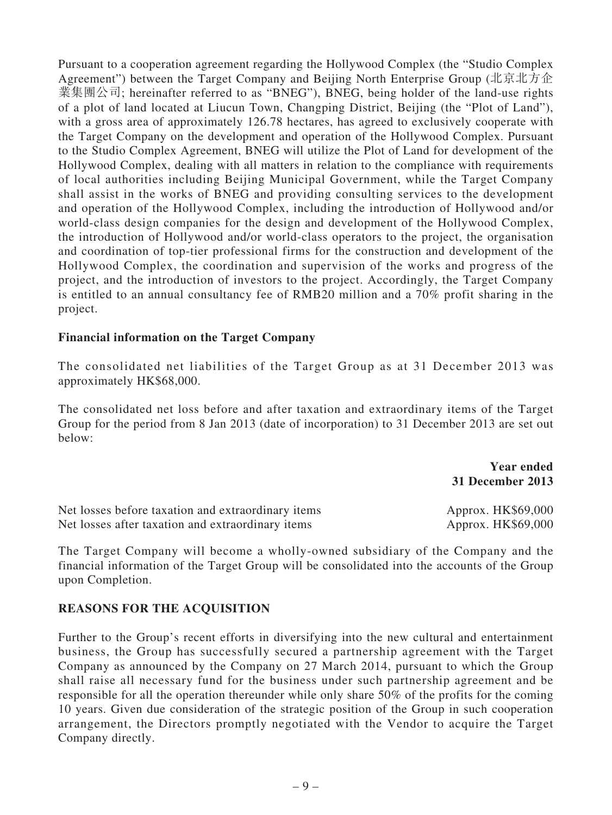Pursuant to a cooperation agreement regarding the Hollywood Complex (the "Studio Complex Agreement") between the Target Company and Beijing North Enterprise Group (北京北方企 業集團公司; hereinafter referred to as "BNEG"), BNEG, being holder of the land-use rights of a plot of land located at Liucun Town, Changping District, Beijing (the "Plot of Land"), with a gross area of approximately 126.78 hectares, has agreed to exclusively cooperate with the Target Company on the development and operation of the Hollywood Complex. Pursuant to the Studio Complex Agreement, BNEG will utilize the Plot of Land for development of the Hollywood Complex, dealing with all matters in relation to the compliance with requirements of local authorities including Beijing Municipal Government, while the Target Company shall assist in the works of BNEG and providing consulting services to the development and operation of the Hollywood Complex, including the introduction of Hollywood and/or world-class design companies for the design and development of the Hollywood Complex, the introduction of Hollywood and/or world-class operators to the project, the organisation and coordination of top-tier professional firms for the construction and development of the Hollywood Complex, the coordination and supervision of the works and progress of the project, and the introduction of investors to the project. Accordingly, the Target Company is entitled to an annual consultancy fee of RMB20 million and a 70% profit sharing in the project.

#### **Financial information on the Target Company**

The consolidated net liabilities of the Target Group as at 31 December 2013 was approximately HK\$68,000.

The consolidated net loss before and after taxation and extraordinary items of the Target Group for the period from 8 Jan 2013 (date of incorporation) to 31 December 2013 are set out below:

> **Year ended 31 December 2013**

| Net losses before taxation and extraordinary items | Approx. HK\$69,000 |
|----------------------------------------------------|--------------------|
| Net losses after taxation and extraordinary items  | Approx. HK\$69,000 |

The Target Company will become a wholly-owned subsidiary of the Company and the financial information of the Target Group will be consolidated into the accounts of the Group upon Completion.

## **REASONS FOR THE ACQUISITION**

Further to the Group's recent efforts in diversifying into the new cultural and entertainment business, the Group has successfully secured a partnership agreement with the Target Company as announced by the Company on 27 March 2014, pursuant to which the Group shall raise all necessary fund for the business under such partnership agreement and be responsible for all the operation thereunder while only share 50% of the profits for the coming 10 years. Given due consideration of the strategic position of the Group in such cooperation arrangement, the Directors promptly negotiated with the Vendor to acquire the Target Company directly.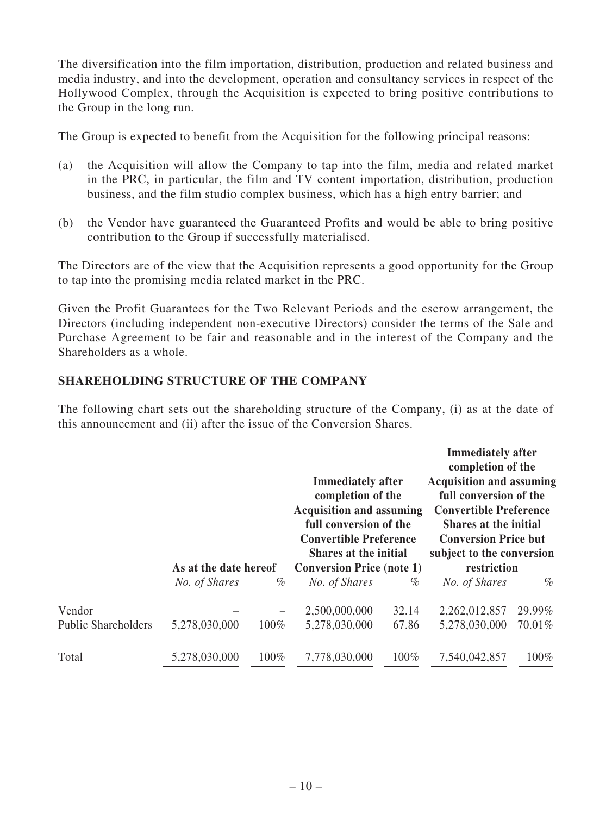The diversification into the film importation, distribution, production and related business and media industry, and into the development, operation and consultancy services in respect of the Hollywood Complex, through the Acquisition is expected to bring positive contributions to the Group in the long run.

The Group is expected to benefit from the Acquisition for the following principal reasons:

- (a) the Acquisition will allow the Company to tap into the film, media and related market in the PRC, in particular, the film and TV content importation, distribution, production business, and the film studio complex business, which has a high entry barrier; and
- (b) the Vendor have guaranteed the Guaranteed Profits and would be able to bring positive contribution to the Group if successfully materialised.

The Directors are of the view that the Acquisition represents a good opportunity for the Group to tap into the promising media related market in the PRC.

Given the Profit Guarantees for the Two Relevant Periods and the escrow arrangement, the Directors (including independent non-executive Directors) consider the terms of the Sale and Purchase Agreement to be fair and reasonable and in the interest of the Company and the Shareholders as a whole.

## **SHAREHOLDING STRUCTURE OF THE COMPANY**

The following chart sets out the shareholding structure of the Company, (i) as at the date of this announcement and (ii) after the issue of the Conversion Shares.

|                            | As at the date hereof |      | <b>Immediately after</b><br>completion of the<br><b>Acquisition and assuming</b><br>full conversion of the<br><b>Convertible Preference</b><br><b>Shares at the initial</b><br><b>Conversion Price (note 1)</b> |       | <b>Immediately after</b><br>completion of the<br><b>Acquisition and assuming</b><br>full conversion of the<br><b>Convertible Preference</b><br><b>Shares at the initial</b><br><b>Conversion Price but</b><br>subject to the conversion<br>restriction |        |
|----------------------------|-----------------------|------|-----------------------------------------------------------------------------------------------------------------------------------------------------------------------------------------------------------------|-------|--------------------------------------------------------------------------------------------------------------------------------------------------------------------------------------------------------------------------------------------------------|--------|
|                            |                       |      |                                                                                                                                                                                                                 |       |                                                                                                                                                                                                                                                        |        |
|                            | No. of Shares         | $\%$ | No. of Shares                                                                                                                                                                                                   | $\%$  | No. of Shares                                                                                                                                                                                                                                          | $\%$   |
| Vendor                     |                       |      | 2,500,000,000                                                                                                                                                                                                   | 32.14 | 2,262,012,857                                                                                                                                                                                                                                          | 29.99% |
| <b>Public Shareholders</b> | 5,278,030,000         | 100% | 5,278,030,000                                                                                                                                                                                                   | 67.86 | 5,278,030,000                                                                                                                                                                                                                                          | 70.01% |
| Total                      | 5,278,030,000         | 100% | 7,778,030,000                                                                                                                                                                                                   | 100%  | 7,540,042,857                                                                                                                                                                                                                                          | 100%   |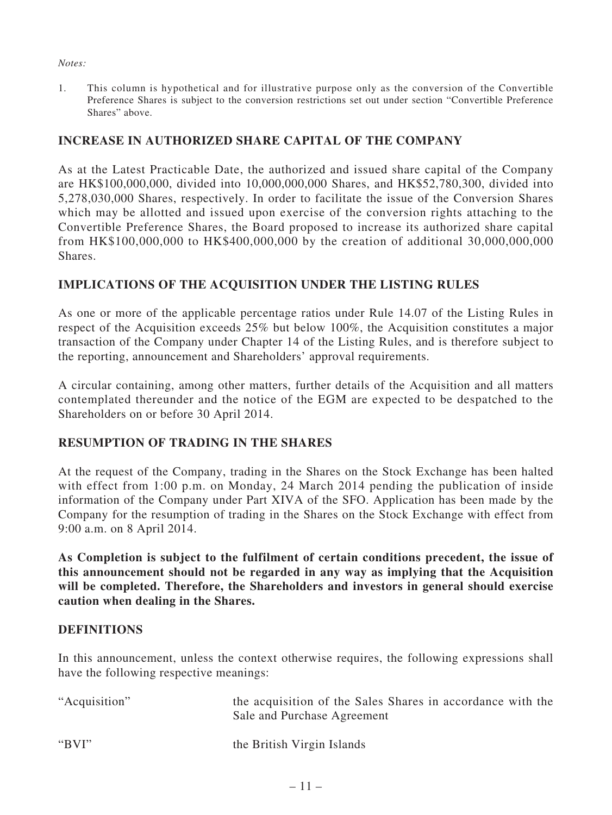#### *Notes:*

1. This column is hypothetical and for illustrative purpose only as the conversion of the Convertible Preference Shares is subject to the conversion restrictions set out under section "Convertible Preference Shares" above.

## **INCREASE IN AUTHORIZED SHARE CAPITAL OF THE COMPANY**

As at the Latest Practicable Date, the authorized and issued share capital of the Company are HK\$100,000,000, divided into 10,000,000,000 Shares, and HK\$52,780,300, divided into 5,278,030,000 Shares, respectively. In order to facilitate the issue of the Conversion Shares which may be allotted and issued upon exercise of the conversion rights attaching to the Convertible Preference Shares, the Board proposed to increase its authorized share capital from HK\$100,000,000 to HK\$400,000,000 by the creation of additional 30,000,000,000 Shares.

## **IMPLICATIONS OF THE ACQUISITION UNDER THE LISTING RULES**

As one or more of the applicable percentage ratios under Rule 14.07 of the Listing Rules in respect of the Acquisition exceeds 25% but below 100%, the Acquisition constitutes a major transaction of the Company under Chapter 14 of the Listing Rules, and is therefore subject to the reporting, announcement and Shareholders' approval requirements.

A circular containing, among other matters, further details of the Acquisition and all matters contemplated thereunder and the notice of the EGM are expected to be despatched to the Shareholders on or before 30 April 2014.

## **RESUMPTION OF TRADING IN THE SHARES**

At the request of the Company, trading in the Shares on the Stock Exchange has been halted with effect from 1:00 p.m. on Monday, 24 March 2014 pending the publication of inside information of the Company under Part XIVA of the SFO. Application has been made by the Company for the resumption of trading in the Shares on the Stock Exchange with effect from 9:00 a.m. on 8 April 2014.

**As Completion is subject to the fulfilment of certain conditions precedent, the issue of this announcement should not be regarded in any way as implying that the Acquisition will be completed. Therefore, the Shareholders and investors in general should exercise caution when dealing in the Shares.**

## **DEFINITIONS**

In this announcement, unless the context otherwise requires, the following expressions shall have the following respective meanings:

| "Acquisition" | the acquisition of the Sales Shares in accordance with the<br>Sale and Purchase Agreement |
|---------------|-------------------------------------------------------------------------------------------|
| " $BVI"$      | the British Virgin Islands                                                                |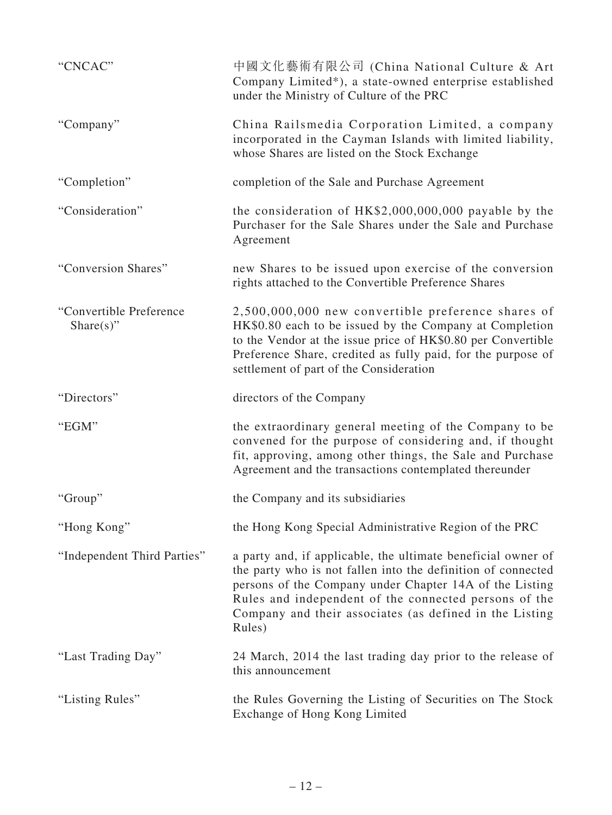| "CNCAC"                                   | 中國文化藝術有限公司 (China National Culture & Art<br>Company Limited*), a state-owned enterprise established<br>under the Ministry of Culture of the PRC                                                                                                                                                                       |
|-------------------------------------------|-----------------------------------------------------------------------------------------------------------------------------------------------------------------------------------------------------------------------------------------------------------------------------------------------------------------------|
| "Company"                                 | China Railsmedia Corporation Limited, a company<br>incorporated in the Cayman Islands with limited liability,<br>whose Shares are listed on the Stock Exchange                                                                                                                                                        |
| "Completion"                              | completion of the Sale and Purchase Agreement                                                                                                                                                                                                                                                                         |
| "Consideration"                           | the consideration of HK\$2,000,000,000 payable by the<br>Purchaser for the Sale Shares under the Sale and Purchase<br>Agreement                                                                                                                                                                                       |
| "Conversion Shares"                       | new Shares to be issued upon exercise of the conversion<br>rights attached to the Convertible Preference Shares                                                                                                                                                                                                       |
| "Convertible Preference"<br>Share $(s)$ " | 2,500,000,000 new convertible preference shares of<br>HK\$0.80 each to be issued by the Company at Completion<br>to the Vendor at the issue price of HK\$0.80 per Convertible<br>Preference Share, credited as fully paid, for the purpose of<br>settlement of part of the Consideration                              |
| "Directors"                               | directors of the Company                                                                                                                                                                                                                                                                                              |
| "EGM"                                     | the extraordinary general meeting of the Company to be<br>convened for the purpose of considering and, if thought<br>fit, approving, among other things, the Sale and Purchase<br>Agreement and the transactions contemplated thereunder                                                                              |
| "Group"                                   | the Company and its subsidiaries                                                                                                                                                                                                                                                                                      |
| "Hong Kong"                               | the Hong Kong Special Administrative Region of the PRC                                                                                                                                                                                                                                                                |
| "Independent Third Parties"               | a party and, if applicable, the ultimate beneficial owner of<br>the party who is not fallen into the definition of connected<br>persons of the Company under Chapter 14A of the Listing<br>Rules and independent of the connected persons of the<br>Company and their associates (as defined in the Listing<br>Rules) |
| "Last Trading Day"                        | 24 March, 2014 the last trading day prior to the release of<br>this announcement                                                                                                                                                                                                                                      |
| "Listing Rules"                           | the Rules Governing the Listing of Securities on The Stock<br>Exchange of Hong Kong Limited                                                                                                                                                                                                                           |